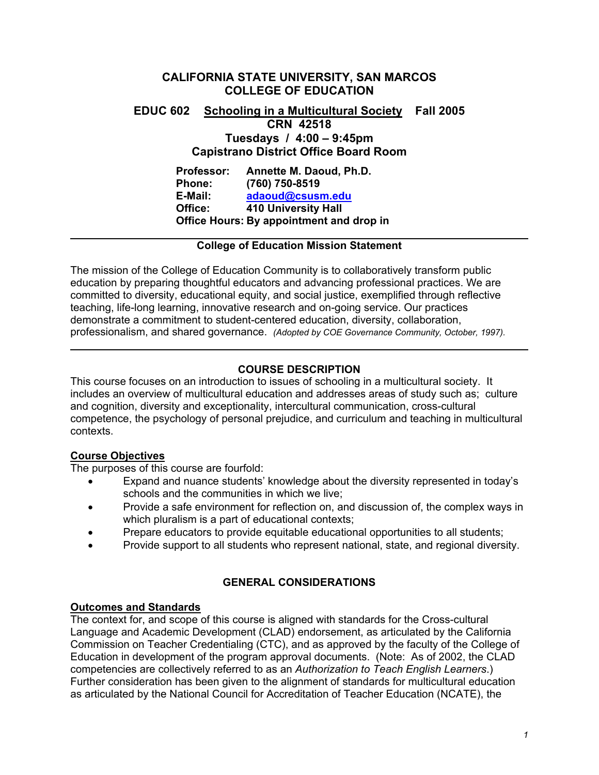# **CALIFORNIA STATE UNIVERSITY, SAN MARCOS COLLEGE OF EDUCATION**

# **EDUC 602 Schooling in a Multicultural Society Fall 2005 CRN 42518 Tuesdays / 4:00 – 9:45pm Capistrano District Office Board Room**

**Professor: Annette M. Daoud, Ph.D. Phone: (760) 750-8519 E-Mail: adaoud@csusm.edu Office: 410 University Hall Office Hours: By appointment and drop in** 

## **College of Education Mission Statement**

The mission of the College of Education Community is to collaboratively transform public education by preparing thoughtful educators and advancing professional practices. We are committed to diversity, educational equity, and social justice, exemplified through reflective teaching, life-long learning, innovative research and on-going service. Our practices demonstrate a commitment to student-centered education, diversity, collaboration, professionalism, and shared governance. *(Adopted by COE Governance Community, October, 1997).* 

# **COURSE DESCRIPTION**

This course focuses on an introduction to issues of schooling in a multicultural society. It includes an overview of multicultural education and addresses areas of study such as; culture and cognition, diversity and exceptionality, intercultural communication, cross-cultural competence, the psychology of personal prejudice, and curriculum and teaching in multicultural contexts.

# **Course Objectives**

The purposes of this course are fourfold:

- Expand and nuance students' knowledge about the diversity represented in today's schools and the communities in which we live;
- Provide a safe environment for reflection on, and discussion of, the complex ways in which pluralism is a part of educational contexts;
- Prepare educators to provide equitable educational opportunities to all students;
- Provide support to all students who represent national, state, and regional diversity.

# **GENERAL CONSIDERATIONS**

# **Outcomes and Standards**

The context for, and scope of this course is aligned with standards for the Cross-cultural Language and Academic Development (CLAD) endorsement, as articulated by the California Commission on Teacher Credentialing (CTC), and as approved by the faculty of the College of Education in development of the program approval documents. (Note: As of 2002, the CLAD competencies are collectively referred to as an *Authorization to Teach English Learners*.) Further consideration has been given to the alignment of standards for multicultural education as articulated by the National Council for Accreditation of Teacher Education (NCATE), the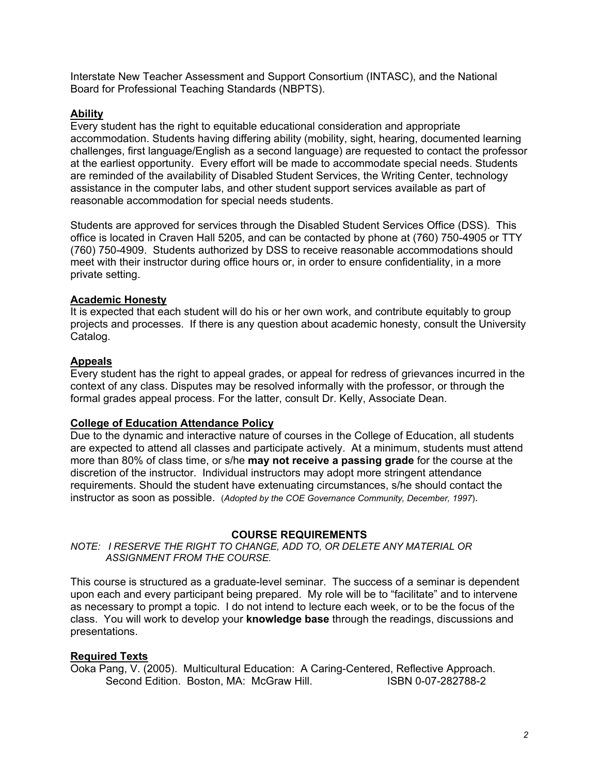Interstate New Teacher Assessment and Support Consortium (INTASC), and the National Board for Professional Teaching Standards (NBPTS).

## **Ability**

Every student has the right to equitable educational consideration and appropriate accommodation. Students having differing ability (mobility, sight, hearing, documented learning challenges, first language/English as a second language) are requested to contact the professor at the earliest opportunity. Every effort will be made to accommodate special needs. Students are reminded of the availability of Disabled Student Services, the Writing Center, technology assistance in the computer labs, and other student support services available as part of reasonable accommodation for special needs students.

Students are approved for services through the Disabled Student Services Office (DSS). This office is located in Craven Hall 5205, and can be contacted by phone at (760) 750-4905 or TTY (760) 750-4909. Students authorized by DSS to receive reasonable accommodations should meet with their instructor during office hours or, in order to ensure confidentiality, in a more private setting.

## **Academic Honesty**

It is expected that each student will do his or her own work, and contribute equitably to group projects and processes. If there is any question about academic honesty, consult the University Catalog.

## **Appeals**

Every student has the right to appeal grades, or appeal for redress of grievances incurred in the context of any class. Disputes may be resolved informally with the professor, or through the formal grades appeal process. For the latter, consult Dr. Kelly, Associate Dean.

## **College of Education Attendance Policy**

Due to the dynamic and interactive nature of courses in the College of Education, all students are expected to attend all classes and participate actively. At a minimum, students must attend more than 80% of class time, or s/he **may not receive a passing grade** for the course at the discretion of the instructor. Individual instructors may adopt more stringent attendance requirements. Should the student have extenuating circumstances, s/he should contact the instructor as soon as possible. (*Adopted by the COE Governance Community, December, 1997*).

### **COURSE REQUIREMENTS**

*NOTE: I RESERVE THE RIGHT TO CHANGE, ADD TO, OR DELETE ANY MATERIAL OR ASSIGNMENT FROM THE COURSE.*

This course is structured as a graduate-level seminar. The success of a seminar is dependent upon each and every participant being prepared. My role will be to "facilitate" and to intervene as necessary to prompt a topic. I do not intend to lecture each week, or to be the focus of the class. You will work to develop your **knowledge base** through the readings, discussions and presentations.

### **Required Texts**

Ooka Pang, V. (2005). Multicultural Education: A Caring-Centered, Reflective Approach. Second Edition. Boston, MA: McGraw Hill. **ISBN 0-07-282788-2**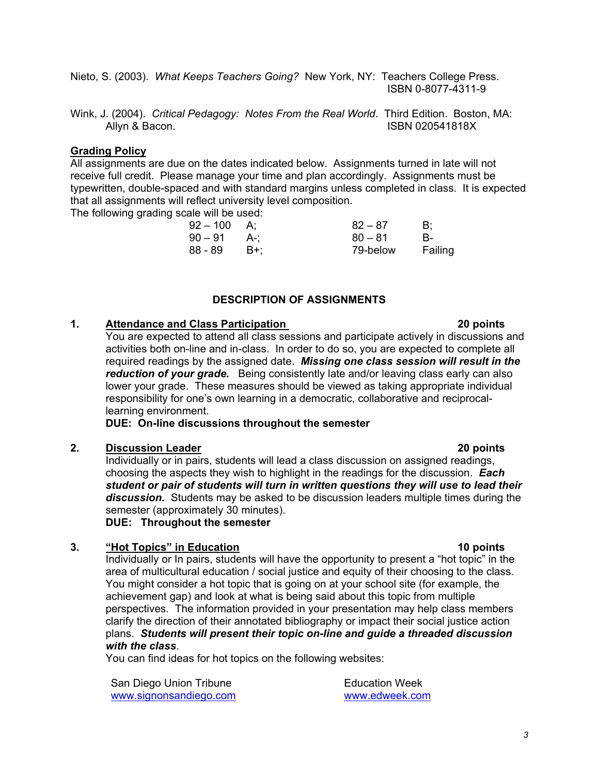Nieto, S. (2003). *What Keeps Teachers Going?* New York, NY: Teachers College Press. ISBN 0-8077-4311-9

Wink, J. (2004). *Critical Pedagogy: Notes From the Real World*. Third Edition. Boston, MA: Allyn & Bacon. **ISBN 020541818X** 

## **Grading Policy**

All assignments are due on the dates indicated below. Assignments turned in late will not receive full credit. Please manage your time and plan accordingly. Assignments must be typewritten, double-spaced and with standard margins unless completed in class. It is expected that all assignments will reflect university level composition.

The following grading scale will be used:

| $92 - 100$ | A:    | $82 - 87$ | B:      |
|------------|-------|-----------|---------|
| $90-91$    | – A∹: | $80 - 81$ | в-      |
| 88 - 89    | - B+: | 79-below  | Failing |

## **DESCRIPTION OF ASSIGNMENTS**

## **1. Attendance and Class Participation 20 points**

You are expected to attend all class sessions and participate actively in discussions and activities both on-line and in-class. In order to do so, you are expected to complete all required readings by the assigned date. *Missing one class session will result in the reduction of your grade.* Being consistently late and/or leaving class early can also lower your grade. These measures should be viewed as taking appropriate individual responsibility for one's own learning in a democratic, collaborative and reciprocallearning environment.

**DUE: On-line discussions throughout the semester** 

### **2. Discussion Leader 20 points**

Individually or in pairs, students will lead a class discussion on assigned readings, choosing the aspects they wish to highlight in the readings for the discussion. *Each student or pair of students will turn in written questions they will use to lead their discussion.* Students may be asked to be discussion leaders multiple times during the semester (approximately 30 minutes).

**DUE: Throughout the semester** 

### **3. "Hot Topics" in Education 10 points**

Individually or In pairs, students will have the opportunity to present a "hot topic" in the area of multicultural education / social justice and equity of their choosing to the class. You might consider a hot topic that is going on at your school site (for example, the achievement gap) and look at what is being said about this topic from multiple perspectives. The information provided in your presentation may help class members clarify the direction of their annotated bibliography or impact their social justice action plans. *Students will present their topic on-line and guide a threaded discussion with the class*.

You can find ideas for hot topics on the following websites:

San Diego Union Tribune www.signonsandiego.com Education Week www.edweek.com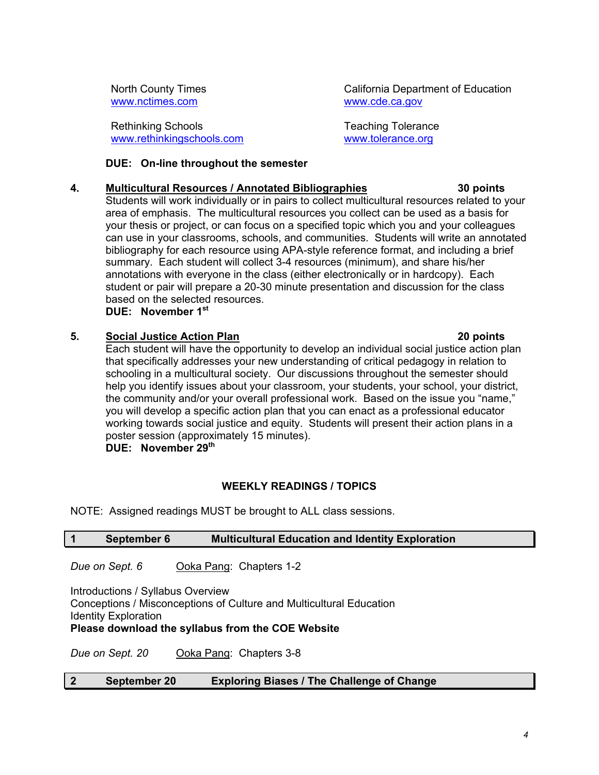North County Times www.nctimes.com

Rethinking Schools www.rethinkingschools.com California Department of Education www.cde.ca.gov

Teaching Tolerance www.tolerance.org

## **DUE: On-line throughout the semester**

# **4. Multicultural Resources / Annotated Bibliographies 30 points**

Students will work individually or in pairs to collect multicultural resources related to your area of emphasis. The multicultural resources you collect can be used as a basis for your thesis or project, or can focus on a specified topic which you and your colleagues can use in your classrooms, schools, and communities. Students will write an annotated bibliography for each resource using APA-style reference format, and including a brief summary. Each student will collect 3-4 resources (minimum), and share his/her annotations with everyone in the class (either electronically or in hardcopy). Each student or pair will prepare a 20-30 minute presentation and discussion for the class based on the selected resources.

**DUE: November 1st** 

# **5. Social Justice Action Plan 20 points**

Each student will have the opportunity to develop an individual social justice action plan that specifically addresses your new understanding of critical pedagogy in relation to schooling in a multicultural society. Our discussions throughout the semester should help you identify issues about your classroom, your students, your school, your district, the community and/or your overall professional work. Based on the issue you "name," you will develop a specific action plan that you can enact as a professional educator working towards social justice and equity. Students will present their action plans in a poster session (approximately 15 minutes). **DUE: November 29th** 

# **WEEKLY READINGS / TOPICS**

NOTE: Assigned readings MUST be brought to ALL class sessions.

# **1 September 6 Multicultural Education and Identity Exploration**

*Due on Sept. 6* Ooka Pang: Chapters 1-2

Introductions / Syllabus Overview Conceptions / Misconceptions of Culture and Multicultural Education Identity Exploration

## **Please download the syllabus from the COE Website**

*Due on Sept. 20* Ooka Pang: Chapters 3-8

## **2 September 20 Exploring Biases / The Challenge of Change**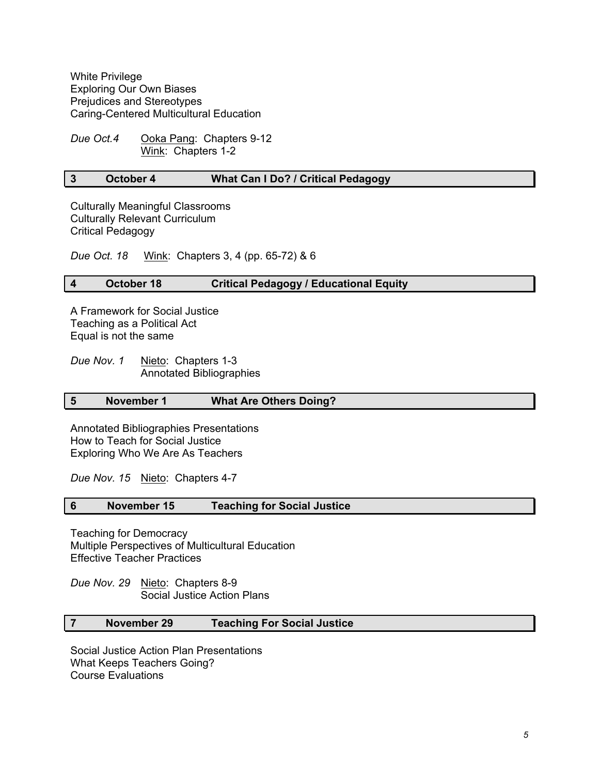White Privilege Exploring Our Own Biases Prejudices and Stereotypes Caring-Centered Multicultural Education

*Due Oct.4* Ooka Pang: Chapters 9-12 Wink: Chapters 1-2

### **3 October 4 What Can I Do? / Critical Pedagogy**

Culturally Meaningful Classrooms Culturally Relevant Curriculum Critical Pedagogy

*Due Oct. 18* Wink: Chapters 3, 4 (pp. 65-72) & 6

## **4 October 18 Critical Pedagogy / Educational Equity**

A Framework for Social Justice Teaching as a Political Act Equal is not the same

*Due Nov. 1* Nieto: Chapters 1-3 Annotated Bibliographies

### **5 November 1 What Are Others Doing?**

Annotated Bibliographies Presentations How to Teach for Social Justice Exploring Who We Are As Teachers

*Due Nov. 15* Nieto: Chapters 4-7

### **6 November 15 Teaching for Social Justice**

Teaching for Democracy Multiple Perspectives of Multicultural Education Effective Teacher Practices

*Due Nov. 29* Nieto: Chapters 8-9 Social Justice Action Plans

## **7 November 29 Teaching For Social Justice**

Social Justice Action Plan Presentations What Keeps Teachers Going? Course Evaluations